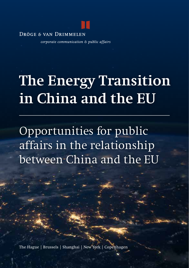DRÖGE & VAN DRIMMELEN

corporate communication & public affairs

## **The Energy Transition in China and the EU**

Opportunities for public affairs in the relationship between China and the EU

The Hague | Brussels | Shanghai | New York | Copenhagen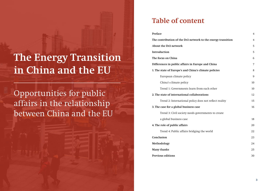## **The Energy Transition in China and the EU**

Opportunities for public affairs in the relationship between China and the EU

## **Table of content**

| Preface                                                      | $\overline{4}$ |
|--------------------------------------------------------------|----------------|
| The contribution of the Dr2 network to the energy transition | 4              |
| About the Dr2 network                                        | 5              |
| Introduction                                                 | 5              |
| The focus on China                                           | 6              |
| Differences in public affairs in Europe and China            | 7              |
| 1. The state of Europe's and China's climate policies        | 8              |
| European climate policy                                      | 9              |
| China's climate policy                                       | 10             |
| Trend 1: Governments learn from each other                   | 10             |
| 2. The state of international collaborations                 | 12             |
| Trend 2: International policy does not reflect reality       | 15             |
| 3. The case for a global business case                       | 16             |
| Trend 3: Civil society needs governments to create           |                |
| a global business case                                       | 18             |
| 4. The role of public affairs                                | 20             |
| Trend 4: Public affairs bridging the world                   | 22             |
| Conclusion                                                   | 23             |
| Methodology                                                  | 24             |
| Many thanks                                                  | 25             |
| <b>Previous editions</b>                                     | 30             |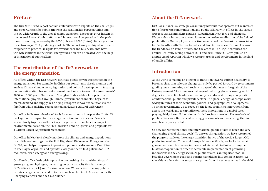## **Preface**

The Dr2 2021 Trend Report contains interviews with experts on the challenges and opportunities for public affairs in the relationship between China and the EU with regards to the global energy transition. The report gives insight in the potential role of public affairs and international cooperation in the path towards reaching net-zero by the 2050 (U.N.) and 2060 (China) climate goals in these two major CO2 producing markets. The report analyzes high-level trends coupled with practical insights for governments and businesses into how win-win solutions in the global energy transition can be created with the help of international public affairs.

## **The contribution of the Dr2 network to the energy transition**

All offices within the Dr2 network facilitate public-private cooperation in the energy transition. For example: in China our consultants closely monitor and analyze China's climate policy legislation and political developments, focusing on innovation stimulus and enforcement mechanisms to reach the governments' 2030 and 2060 goals. Our team in Shanghai finds and develops potential international projects through Chinese government channels. They aim to match demand and supply by bringing European innovative solutions to the forefront while advising companies on navigating cultural differences.

Our office in Brussels developed tools for companies to interpret the 'fit for 55' package on the impact for the energy transition in their sector. Brussels works closely together with the Copenhagen office to include the impact of environmental taxation, the EU's Emission Trading System and proposals for a Carbon Border Adjustment Mechanism.

Our office in New York closely monitors the climate and energy negotiations in multilateral settings like the U.N. High-Level Dialogue on Energy and the COP26, and helps companies to provide input on the discussions. Our office in The Hague organizes and operates closely on the tri-fold policies for CO2 reduction, clean energy and energy-savings.

Our Dutch office deals with topics that are pushing the transition forward: green gas, green hydrogen, increasing network capacity for clean energy, CO2-utilization (CCU) and Thorium reaction. We are active in many publicprivate energy networks and initiatives, such as the Dutch Association for the Charging Network and the CCU-Alliance.

Dr2 Consultants is a strategic consultancy network that operates at the intersection of corporate communication and public affairs, with offices in The Hague (Dröge & van Drimmelen), Brussels, Copenhagen, New York and Shanghai. We consider it important to contribute to the professionalization of the field of public affairs. Our employees are (active) members of the Professional Association for Public Affairs (BVPA), our founder and director Frans van Drimmelen wrote the Handbook on Public Affairs, and the office in The Hague organised the annual Ben Pauw Lezing between 2011 and 2016. Since 2017, we publish an annual trend report in which we research trends and developments in the field of public affairs.

## **Introduction**

As the world is making an attempt to transition towards carbon neutrality, it becomes clear that relevant change can only be pushed forward by governments guiding and stimulating civil society in a speed that meets the goals of the Paris-Agreement. The immense challenge of reducing global warming with 1,5 degree Celsius defies borders and can only be addressed through cooperation of international public and private sectors. The global energy landscape varies widely in terms of socio-economic, political and geographical developments. To bring governments up to speed on the latest promising innovations from across the world, and to capitalize on these innovations in a global level playing field, close collaboration with civil society is needed. The methods of public affairs are often crucial to bring governments and society together in complicated policy debates.

So how can we use national and international public affairs to reach the very challenging global climate goals? To answer this question, we have researched the progress made on the energy transition in two of the world's largest CO2 producing markets: China and Europe. More specifically, we looked at what governments and businesses in these markets can do to further strengthen bilateral cooperation in order to accelerate implementation of promising innovations in the energy sector. As public affairs is an important tool in bridging government goals and business ambitions into concrete action, we take this as a lens for the answers we gather from the experts active in the field.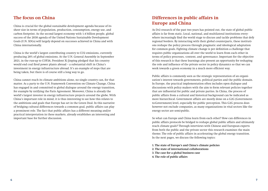## **The focus on China**

China is crucial for the global sustainable development agenda because of its sheer size in terms of population, production, consumption, energy use, and carbon footprint. As the second largest economy with 1.4 billion people, global success of the 2030 agenda of the United Nations Sustainable Development Goals (U.N. SDGs) will largely depend on successes achieved in China and with China internationally.

China is the world's largest contributing country to CO2 emissions, currently producing 28% of global emissions. At the U.N. General Assembly in September 2021, in the run-up to COP26, President Xi Jinping pledged that his country would end coal fired power plants abroad – a substantial shift in China's investment in energy infrastructure abroad. It's an example of steps that are being taken, but there is of course still a long way to go.

China cannot reach its climate ambitions alone, no single country can, for that matter. As a party to the U.N. Framework Convention on Climate Change, China has engaged in and committed to global dialogue around the energy transition, for example by ratifying the Paris Agreement. Moreover, China is already the world's largest investor in energy infrastructure projects around the globe. With China's important role in mind, it is thus interesting to see how this relates to the ambitions and goals that Europe has set in the Green Deal. In this narrative of bridging cultural differences towards a common goal, public affairs can play a prominent role. The fact that public affairs has a different meaning and/or practical interpretation in these markets, already establishes an interesting and important base for further discussion.

## **Differences in public affairs in Europe and China**

As Dr2 research of the past two years has pointed out, the state of global public affairs is far from static. Local, national, and multilateral institutions everywhere increasingly find the world stage to discuss and tackle problems that defy regional borders. By interacting with their global counterparts, these institutions reshape the policy process through pragmatic and ideological adaptation for common goals. Fighting climate change is per definition a challenge that requires public organizations all over the world to learn from each other in terms of policy processes, -content, and -governance. Important for the objective of this research is that these learnings also present an opportunity for reshaping the role and influence of the private sector in policy dynamics so that we can work towards a green economy in a much more efficient way.

Public affairs is commonly seen as the strategic representation of an organization's interest towards governments, political parties and the public domain. In Europe, the practical implementation often includes open dialogue and discussions with policy makers with the aim to form relevant policies together that are influential for public and private parties. In China, the process of public affairs from a cultural and historical background can be indicated as more hierarchical. Government affairs are mostly done on a G2G (Governmentto-Government) level, especially for public perception. This G2G process does however not exclude companies, as many organizations in vital sectors like the energy sector are semi-public.

So what can Europe and China learn from each other? How can differences in public affairs protocols be bridged to reshape global public affairs and ultimately reach climate goals? Through interviews with Chinese and European experts from both the public and the private sector this research examines the main theme; The role of public affairs in accelerating the global energy transition. In the next pages, we discuss the following topics:

**1. The state of Europe's and China's climate policies 2. The state of international collaborations 3. The case for a global business case 4. The role of public affairs**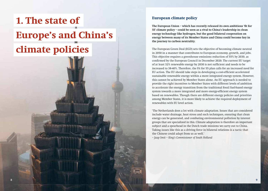# **1. The state of Europe's and China's climate policies**

### **European climate policy**

**The European Union – which has recently released its own ambitious 'fit for 55' climate policy – could be seen as a rival to China's leadership in clean energy technology like hydrogen, but the good bilateral cooperation on energy between many of its Member States and China could become key in the journey to carbon neutrality.**

The European Green Deal (EGD) sets the objective of becoming climate neutral in 2050 in a manner that contributes to European economy, growth, and jobs. This objective requires a greenhouse emissions reduction of 55% by 2030, as confirmed by the European Council in December 2020. The current EU target of at least 32% renewable energy by 2030 is not sufficient and needs to be increased to 38-40%. Therefore, the Fit for 55 plan calls for an increased need for EU action. The EU should take steps in developing a cost-efficient accelerated sustainable renewable energy within a more integrated energy system. However, this cannot be achieved by Member States alone. An EU approach is needed to provide the right incentives to Member States with different levels of ambition to accelerate the energy transition from the traditional fossil fuel-based energy system towards a more integrated and more energy-efficient energy system based on renewables. Though there are different energy policies and priorities among Member States, it is more likely to achieve the required deployment of renewables with EU level action.

'The Netherlands does a lot with climate adaptation. Issues that are considered include water drainage, heat stress and such techniques, ensuring that clean energy can be generated, and combating environmental pollution by interest groups that are specialized in this. Climate adaptation is therefore an important subject and a spearhead in the Dutch trade missions we carry out to China. Taking issues like this as a driving force in bilateral relations is a tactic that the Chinese could adapt from us as well.'

*– Jaap Smit – King's Commissioner of South Holland*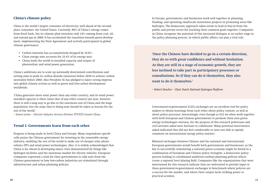### **China's climate policy**

China is the world's largest consumer of electricity, well ahead of the secondplace consumer, the United States. Currently, 80% of China's energy comes from fossil fuels, but its climate plan envisions only 14% coming from coal, oil, and natural gas in 2060. It has accelerated the transition towards green development, implementing the Paris Agreement and actively participated in global climate governance;

- Carbon intensity has accumulatively dropped by 18.8%;
- Clean energy now accounts for 23.4% of its energy mix;
- China leads the world in installed capacity and output of photovoltaic and wind power generation.

China's ambitions are to scale up nationally determined contributions and setting aims to peak its carbon dioxide emissions before 2030 to achieve carbon neutrality before 2060. Also President Xi has pledged to inject strong impetus into global climate actions as well as green and low-carbon development worldwide.

'China generates more solar power than any other country, and its wind power installed capacity is three times that of any other country last year; however, there is still a long way to go due to the enormous size of China and the huge population, but the steps they're doing now should be taken as lessons for the rest of the world.'

*– Simon Lemin – Director Industry Services Division TÜVSÜD Greater China*

#### **Trend 1: Governments learn from each other**

Progress is being made in both China and Europe. Many respondents specifically praise the Chinese government for investing in the renewable energy industry, enabling the rest of the world to make use of cheaper solar photovoltaics (PV) and wind power technologies. Also, it is widely acknowledged that China is far ahead in developing smart cities demonstrated by things like hydrogen facilities and the enormous market for electric vehicles. European companies expressed a wish for their governments to take note from the Chinese government in how low-carbon industries are stimulated through infrastructure and urban planning policies.

In Europe, governments and businesses work well together in planning, funding, and operating small-scale innovation projects in promising areas like hydrogen. The democratic approach taken seems to lead to buy-in from the public and private sector for reaching their common goals together. Companies in China recognize the potential of this increased dialogue at an earlier stage in the policy planning process, in which public affairs can play a vital role.

**'Once the Chinese have decided to go in a certain direction, they do so with great confidence and without hesitation. As they are still in a stage of economic growth, they are less inclined to take part in participatory processes or consultations. So if they can do it themselves, they also want to do it themselves.'** 

*– Robert Dencher – Chair Dutch National Hydrogen Platform*

Government-to-government (G2G) exchanges are an excellent tool for policy makers to obtain learnings from each other about policy content, as well as about policy processes. Interestingly, even though as Dr2 we often work together with both European and Chinese governments to promote their own green energy technologies overseas, for the purpose of this research politicians and civil servants asked were hesitant to collaborate. Many potential interviewees asked indicated they did not feel comfortable or were not able to openly comment on international energy policy matters.

Bilateral exchanges between Chinese and the national and international European governments would benefit both governments and businesses, as the key to successfully stimulating a national green economy might be found in a combination of European and Chinese policy strengths: a democratic policy process leading to coordinated ambitious (urban) planning policies which create a regional level playing field. Companies like the organizations that were interviewed for this research indicate they are well-suited to provide input to these government-to-government exchanges to benchmark where policies are a success for the market, and where their output lacks striking power or practical acumen.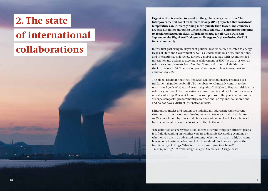## **2. The state**

## **of international**

## **collaborations**

**Urgent action is needed to speed up the global energy transition. The Intergovernmental Panel on Climate Change (IPCC) reported that worldwide temperatures are currently rising more quickly than feared, and countries are still not doing enough to tackle climate change. In a historic opportunity to accelerate action on clean, affordable energy for all (U.N. SDG7), this September the High-Level Dialogue on Energy took place during the U.N. General Assembly.** 

In this first gathering in 40 years of political leaders solely dedicated to energy, Heads of State and Government as well as leaders from business, foundations, and international civil society formed a global roadmap with recommended milestones and actions to accelerate achievement of SDG7 by 2030; as well as voluntary commitments from Member States and other stakeholders in the form of over 130 "Energy Compacts" setting out plans to reach net zero emissions by 2050.

The global roadmap that the High-Level Dialogue on Energy produced is a fundamental guideline for all U.N. members to voluntarily commit to the transitional goals of 2030 and eventual goals of 2050/2060. Skeptics criticize the voluntary nature of the international commitments and call for more strategic moral leadership. Relevant for our research purposes, the plans laid out in the "Energy Compacts" predominantly cover national or regional collaborations and do not have a distinct international focus.

Different countries and regions are individually addressing their current situations, as their economic developmental states warrant distinct focuses. As Maslow's hierarchy of needs dictates: only when one level of societal needs have been 'satisfied' can the focus be shifted to the next.

'The definition of 'energy transition' means different things for different people: It is fluid depending on whether you are a dynamic developing economy or whether you are in an advanced economy - whether you are in a high-income bracket or a low-income bracket. I think we should look very simple at the functionality of things. What is it that we are trying to achieve?' *– Christof van Agt – Director Energy Dialogue, International Energy Forum*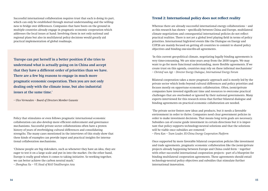Successful international collaboration requires trust that each is doing its part, which can only be established through mutual understanding and the willingness to bridge over differences. Companies that have boots on the ground in multiple countries already engage in pragmatic economic cooperation which addresses the local issues at hand. Involving them in not only national and regional plans but also in multilateral policy decisions would greatly aid practical implementation of global roadmaps.

**'Europe can put herself in a better position if she tries to understand what is actually going on in China and accept that they have a different order of priorities than we have. There are a few big reasons to engage in much more pragmatic economic cooperation. Then you are not only dealing only with the climate issue, but also industrial issues at the same time.'** 

*– Ulco Vermeulen – Board of Directors Member Gasunie*

Policy that stimulates or even follows pragmatic international economic collaboration can also develop more efficient enforcement and governance mechanisms. Successful private sector collaborations often have a proven history of years of overbridging cultural differences and consolidating strengths. The many cases mentioned in the interviews of this study show that these kinds of examples can provide input and practical insights for international collaboration mechanisms.

'Chinese people are big risk-takers, such as whenever they have an idea, they are eager to test it on a large scale and put in into the market. On the other hand, Europe is really good when it comes to taking initiative. So working together, we can better achieve the carbon neutral mark.'

*– Zhonghua Xu – VP, Head of R&D TotalEnergies Asia*

### **Trend 2: International policy does not reflect reality**

Whereas there are already successful international energy collaborations – and as this research has shown – specifically between China and Europe, multilateral climate negotiations and consequential international policies do not reflect practical realities. There is not yet a global level playing field in terms of policy priorities. International high-level events like the Dialogue on Energy and COP26 are mainly focused on getting all countries to commit to shared policy objectives and binding one-size-fits-all agreements.

'In this current geo-political climate, negotiating legally binding agreements is very time-consuming. We are nine years away from the 2030 targets. We may want to go for more functional understanding, more flexible agreements. If we create trust on this agenda, countries may rely on these informal mechanisms' *– Christof van Agt – Director Energy Dialogue, International Energy Forum*

Bilateral cooperation takes a more pragmatic approach and is mostly led by the private sector which looks beyond cultural differences and policy priorities and focuses mostly on opportune economic collaboration. Often, (semi-)private companies have invested significant time and resources to overcome practical challenges that are overlooked or ignored by their national governments. Many experts interviewed for this research stress that further bilateral dialogue and binding agreements on practical economic collaboration are needed.

'The private sector fosters new ideas and products, but it needs a favorable environment in order to thrive. Companies need clear government policies in order to make investment decisions. That means long term goals are necessary. Subsidies can of course guide investment in certain directions but it is important that policy supports technology-neutral solutions and that the solutions will be viable once subsidies are removed.'

*– Flora Kan – Team Leader, EU-China Energy Cooperation Platform*

Once supported by more favorable bilateral cooperation policies like investment and trade agreements, pragmatic economic collaboration like the (semi-)private projects already happening between Europe and China could form – together with other successful international cooperation projects - part of a blueprint for binding multilateral cooperation agreements. These agreements should entail technology-neutral policy objectives and subsidies that stimulate further international innovation.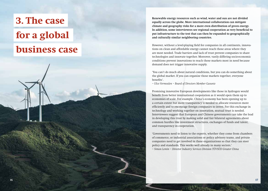## **3. The case for a global business case**

#### **Renewable energy resources such as wind, water and sun are not divided equally across the globe. More international collaboration can mitigate climate and geography risks for a more even distribution of green energy. In addition, some interviewees see regional cooperation as very beneficial to put infrastructure to the test that can then be expanded to geographically and culturally similar neighboring countries.**

However, without a level-playing field for companies in all continents, innovations on clean and affordable energy cannot reach those areas where they are most needed. Trade barriers and lack of trust prevent companies to share technologies and innovate together. Moreover, vastly differing socio-economic conditions prevent innovations to reach those markets most in need because demand does not trigger innovative supply.

'You can't do much about natural conditions, but you can do something about the global market. If you can organize those markets together, everyone benefits'.

*– Ulco Vermeulen – Board of Directors Member Gasunie*

Promising innovative European developments like those in hydrogen would benefit from better international cooperation as it would open them up to economies of scale. For example, China's economy has been opening up to a certain extent but more transparency is needed to allocate resources more efficiently and to encourage foreign companies to invest. For this exchange in technology and working together on innovation, mutual trust is needed. Interviewees suggest that European and Chinese governments can take the lead in developing this trust by making solid and fair bilateral agreements about common hurdles like investment structures, exchanges of funds and talent, and transparency in cooperation.

'Governments need to listen to the experts, whether they come from chambers of commerce, or industrial associations or policy advisory teams, and private companies need to get involved in these organizations so that they can steer policy and standards. This works well already in many sectors.' *– Simon Lemin – Director Industry Services Division TÜVSÜD Greater China*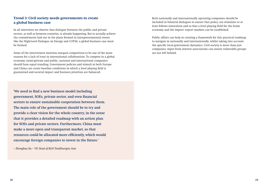### **Trend 3: Civil society needs governments to create a global business case**

In all interviews we observe that dialogue between the public and private sectors, as well as between countries, is already happening. But to actually achieve the commitments laid out in the plans formed in intergovernmental events like the High-Level Dialogue on Energy and COP26, a global business case must be formed.

Some of the interviewees mention unequal competition to be one of the main reasons for a lack of trust in international collaboration. To compete in a global economy, (semi-)private and public, national and international companies should have equal standing. Government policies and stimuli in both Europe and China can create baseline conditions in which a level playing field is guaranteed and societal impact and business priorities are balanced.

Both nationally and internationally operating companies should be included in bilateral dialogues to ensure that policy can stimulate or at least follows innovation and so that a level playing field for the home economy and the import- export markets can be established.

Public affairs can help in creating a framework for this practical roadmap to navigate in nationally and internationally, whilst taking into account the specific local government dynamics. Civil society is more than just companies; input from interest associations can ensure vulnerable groups are not left behind.

**'We need to find a new business model including government, SOEs, private sector, and even financial sectors to ensure sustainable cooperation between them. The main role of the government should be to try and provide a clear vision for the whole country, in the sense that it provides a detailed roadmap with an action plan for SOEs and private sectors. Furthermore, China must make a more open and transparent market, so that resources could be allocated more efficiently, which would encourage foreign companies to invest in the future.'** 

*– Zhonghua Xu – VP, Head of R&D TotalEnergies Asia*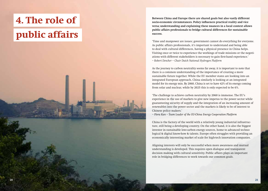# **4. The role of public affairs**



**Between China and Europe there are shared goals but also vastly different socio-economic circumstances. Policy influences practical reality and vice versa; understanding and explaining these nuances in a local context allows public affairs professionals to bridge cultural differences for sustainable success.**

'Time and manpower are issues; government cannot do everything for everyone. As public affairs professionals, it's important to understand and being able to deal with cultural differences, having a physical presence in China helps. Visiting once or twice to experience the workings of trade missions or the negotiations with different stakeholders is necessary to gain first-hand experience.' *– Robert Dencher – Chair Dutch National Hydrogen Platform* 

As the journey to carbon neutrality seems far away, it is important to note that there is a common understanding of the importance of creating a more sustainable future together. While the EU member states are looking into an integrated European approach, China similarly is looking at an integrated model for its energy mix. By 2060, China is set to have 42% of its energy coming from solar and nuclear, while by 2025 this is only expected to be 6%.

'The challenge to achieve carbon neutrality by 2060 is immense. The EU's experience in the use of markets to give new impetus to the power sector while guaranteeing security of supply and the integration of an increasing amount of renewables into the power sector and the markets is likely to be of interest to Chinese policy makers.'

*– Flora Kan – Team Leader of the EU-China Energy Cooperation Platform*

China is the factory of the world with a relatively young industrial infrastructure, still being a developing country. On the other hand, it is also the biggest investor in sustainable low-carbon energy sources, home to advanced technological & digital know-how & talents. Europe often struggles with providing an economically interesting market of scale for high-tech innovation companies.

Aligning interests will only be successful when more awareness and mutual understanding is developed. This requires open dialogue and transparent decision making with cultural sensitivity. Public affairs plays an important role in bridging differences to work towards our common goals.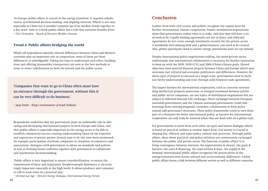'In Europe, public affairs is crucial in the energy transition. It requires collaboration, synchronized decision making, and aligning interests. Which is not easy, especially in China but it wouldn't surprise me if we worked closely together in a few years' time so I think public affairs has a role that everyone benefits from.' *– Ulco Vermeulen – Board of Directors Member Gasunie*

### **Trend 4: Public affairs bridging the world**

Whilst all respondents identify cultural differences between China and Western countries play an important role in cooperation, none of them see these differences as unbridgeable. Taking the time to understand each other, building trust and offering (reasonable) transparency are seen as the best methods to come to closer collaboration in both the private and the public sector.

**'Companies that want to go to China often must have an entrance through the government, without this it can be very difficult to do business.'**

*– Jaap Smith – King's commissioner of South Holland*

Respondents underline that the government plays an undeniable role in allocating and developing international projects in both Europe and China, and that public affairs is especially important in the energy sector to be able to establish commercial success creating understanding based on the expertise and experience of private parties. Several ways to do this have been mentioned, for example participation of private companies in chambers of commerce and associations' dialogues with government to advise on standards and policies, as well as forming broad coalitions together with government to collaborate and synchronize decision-making.

'Public affairs is very important to ensure cross-fertilization, to ensure the transmission of ideas and inspiration. People-to-people diplomacy is excruciatingly important especially at the high levels. It allows producer and consumer to talk to each other in a practical way.'

*– Christof van Agt – Director Energy Dialogue, International Energy Forum*

Leaders from both civil society and politics recognize the urgent need for further international climate cooperation. Frantic multilateral negotiations show that governments realize what is at stake, and that they still have a lot of work to do. Legally binding agreements are not in place, and informal agreements do not create enough investment security for the private sector. A worldwide level playing field and a global business case need to be created. Also, global agreements need to ensure energy innovations leave no one behind.

Despite international policy negotiations stalling, the (semi-)private sector understands that international collaboration is necessary for further innovation to keep up with the 2030, 2050 (U.N.) and 2060 (China) climate goals. Shared objectives have spurred bilateral projects between China and Europe which have overcome vast cultural and economic preferences and differences. However, for these types of projects to succeed on a larger scale, governments need to facilitate better understanding and trust through solid bilateral trade agreements.

The largest barriers for international cooperation, such as concerns surrounding intellectual property protection, or unequal treatment between private and public sector companies, are not topics of multilateral negotiations but are subject to informal bilateral G2G exchanges. These exchanges between European (national) governments and the Chinese (national) governments could take learnings from existing pragmatic economic collaboration to form policy stimuli and governance structures. These policy frameworks could in turn form part of a blueprint for better international policy, as barriers for international cooperation can only truly be removed when they are dealt with on a global scale.

For governments to learn from each other, an open and honest dialogue which is based on practical realities is needed. Input from civil society is crucial in shaping fair, efficient and equal policy content and -processes. Through public affairs, ideas about practical- and policy solutions are continuously exchanged between the public and private sector. The function of public affairs is to bring convergence between interests: the opportunities & threats, the goals & barriers, the costs & financing, the expectations & fears, the supply & the demand. International public affairs recognizes the practicalities of the energy-transition even across cultural and socio-economic differences. Global public affairs forms a link between different sectors as well as different countries.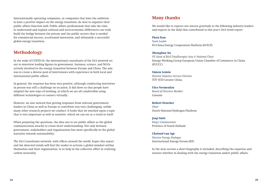Internationally operating companies, or companies that have the ambition to have a positive impact on the energy transition, do wise to organize their public affairs function well. Public affairs professionals that take the time to understand and explain cultural and socio-economic differences can truly build the bridge between the private and the public sectors that is needed for commercial success, accelerated innovation, and ultimately a successful global energy transition.

## **Methodology**

In the wake of COVID-19, the international consultants of the Dr2 network set out to interview leading figures in government, business, science, and NGOs actively involved in the energy transition between Europe and China. The aim was to create a diverse pool of interviewees with experience in both local and international public affairs.

In general, the response has been very positive, although conducting interviews in person was still a challenge on occasion. It did show us that people have adapted the new ways of working, in which we are all comfortable using different technologies to connect virtually.

However, we also noticed that getting responses from relevant government leaders in China as well as Europe to contribute was very challenging, unlike many other research projects we conduct. It looks that we touched upon a topic that is very important as well as sensitive, which we can see as a trend in itself.

When preparing the questions, the idea was to see public affairs as the global communication attaché to create more understanding. Not only between government, stakeholders and organizations but more specifically in the global narrative towards sustainability.

The Dr2 Consultants network, with offices around the world, hopes this report and the detected trends will fuel the reader to activate a global mindset within themselves and their organization, to so help in the collective effort in realizing carbon neutrality.

## **Many thanks**

We would like to express our sincere gratitude to the following industry leaders and experts in the field that contributed to this year's Dr2 trend report:

#### **Flora Kan**

*Team Leader*  EU-China Energy Cooperation Platform (ECECP)

#### **Zhonghua Xu**

*VP, Head of R&D TotalEnergies Asia & National Chair*  Energy Working Group European Union Chamber of Commerce in China (EUCCC)

#### **Simon Lemin** *Director Industry Services Division* TÜV SÜD Greater China

**Ulco Vermeulen**  *Board of Directors Member*  Gasunie

#### **Robert Dencher**

*Chair*  Dutch National Hydrogen Platform

#### **Jaap Smit**

*King's Commissioner*  Province of South Holland

### **Christof van Agt**

*Director Energy Dialogue* International Energy Forum (IEF)

In the next section a short biography is included, describing the expertise and tenures whether in dealing with the energy transition and/or public affairs.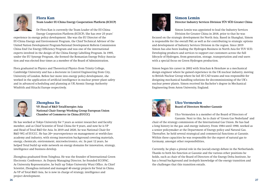

### **Flora Kan Team Leader EU-China Energy Cooperation Platform (ECECP)**

Dr Flora Kan is currently the Team Leader of the EU-China Energy Cooperation Platform (ECECP). She has over 25 years'

experience in energy policy development. She was the EU Director of the EU-China Energy and Environment Program, the Chief Technical Advisor of the United Nation Development Program-National Development Reform Commission China End Use Energy Efficiency Program and was one of the international experts involved in the design of the China Energy Labelling Program. In 1995, under the EU Synergy Program, she formed the Romanian Energy Policy Association and was elected four times as a member of the Board of Administration.

Flora graduated in Physics and Theoretical Physics from Trinity College, Cambridge University and has a doctorate in Control Engineering from City, University of London. Before her move into energy policy development, she worked in the application of artificial intelligence in nuclear power plant safety and in advanced scheduling and planning at UK Atomic Energy Authority Winfrith and Hitachi Europe respectively.



### **Zhonghua Xu**

**VP, Head of R&D TotalEnergies Asia National Chair Energy Working Group European Union Chamber of Commerce in China (EUCCC)**

He has worked at Tokyo University for 7 years as senior researcher and faculty member, and as Chief Scientist of Total China for 9 years, and now he is VP and Head of Total R&D for Asia. In 2019 and 2020, he was National Chair for R&D WG of EUCCC. He has 20+ year-experience on management at world-class academy and industry, with strong innovation background covering materials, energy, chemicals, environment, microelectronics, etc. In past 12 years, he helped Total build up wide network on energy domains for innovation, strategy, intelligence and business develop.

Zhonghua graduated from Tsinghua. He was the founder of International Green Electronic Conference. As Deputy Managing Director, he founded ECOPAC. As University Representative, he built up Tokyo University Wuxi Office. As Chief Scientist, Zhonghua initiated and managed 40 energy projects for Total in China. As VP of Total R&D Asia, he is now in charge of strategy, intelligence and project development.



### **Simon Lemin**

**Director Industry Services Division TÜV SÜD Greater China**

Simon Lemin was appointed to lead the Industry Services Division for Greater China in 2018, prior to that he was

focused on the strategic development for North Asia. Based in Shanghai, Simon is responsible for the overall P&L as well as for contributing to strategic options and development of Industry Services Division in the region. Since 2019 Simon has also been leading the Hydrogen Business in North Asia for TUV SUD. Developing products and services to support our customers across the full lifecycle of Hydrogen, from generation, storage, transportation and end users with a special focus on Green Hydrogen production.

Simon began his career in 2002 with Strachan & Henshaw as a mechanical design engineer where he gained experience in the UK nuclear industry, moving to British Nuclear Group where he led 3D CAD teams and was responsible for designing mechanical handling solutions for decommissioning of the UK's nuclear power plants. Simon received his Bachelor's degree in Mechanical Engineering from Aston University, England.



### **Ulco Vermeulen Board of Directors Member Gasunie**

Ulco Vermeulen is a member of the Board of Directors of Gasunie. Next to this, he is chair of 'Groen Gas Nederland' and

chair of the strategy commission of the International Gas Union. He has had a long history in the gas- and energy industry. From 1984 until 1990, worked as a senior policymaker at the Department of Energy policy and Natural Gas. Thereafter, he held several strategical and commercial functions at Gasunie. Within these capacities he was responsible for the export of natural gas to Germany, amongst other responsibilities,

Currently, he plays a pivotal role in the (social) energy debate in the Netherlands. Thanks to both his function at Gasunie and the various other positions he holds, such as chair of the Board of Directors of the Energy Delta Institute, he has a broad background and in-depth knowledge of the energy transition and the challenges that this transition entails.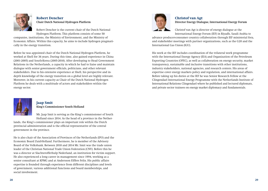

### **Robert Dencher Chair Dutch National Hydrogen Platform**

Robert Dencher is the current chair of the Dutch National Hydrogen Platform. This platform consists of some 50

companies, institutions, the Ministry of Environment, and the Ministry of Economic Affairs. Within this capacity, he aims to include hydrogen pragmatically in the energy transition.

Before he was appointed chair of the Dutch National Hydrogen Platform, he worked at Shell for 36 years. During this time, also gained experience in China (2001-2005) and South-Korea (2005-2010). After developing to Head Government Relations in the Netherlands, a capacity in which he had to liaise and maintain dialogue with senior government officials, politicians, and other relevant stakeholders. Due to his extensive experience at Shell, his perspective and indepth knowledge of the energy transition on a global level are highly relevant. Moreover, in his current capacity as Chair of the Dutch National Hydrogen Platform he deals with a multitude of actors and stakeholders within the energy sector.



## **Jaap Smit**

**King's Commissioner South Holland**

Mr. Jaap Smit is serving as the King's commissioner of South Holland since 2014. As the head of a province in the Nether-

lands, the King's commissioner plays an important role within the Dutch provincial administration and is the official representative of the central government in the province.

He is also chair of the Association of Provinces of the Netherlands (IPO) and the Economic Board Zuid-Holland. Furthermore, he is member of the Advisory Board of the Volksbank. Between 2010 and 2014 Mr. Smit was the trade union leader of the Christian National Trade Union Federation (CNV). Before this he was a director at Slachterofferhulp Nederland, an institution for victim support. He also experienced a long career in management since 1994, working as a senior consultant at KPMG and at Andersson Elffers Felix. His public affairs expertise is founded through experience from different disciplines and levels of government, various additional functions and board memberships, and social involvement.



### **Christof van Agt Director Energy Dialogue, International Energy Forum**

Christof van Agt is director of energy dialogue at the International Energy Forum (IEF) in Riyadh, Saudi Arabia to

advance producer-consumer country collaboration through IEF ministerial fora, and stakeholder meetings with partner organizations, such as the G20 and the International Gas Union (IGU).

His work at the IEF includes coordination of the trilateral work programme with the International Energy Agency (IEA) and Organization of the Petroleum Exporting Countries (OPEC), as well as collaboration on energy security, market transparency, sustainable and inclusive transitions with other institutions, industry stakeholders, national agencies, and research centers. His areas of expertise cover energy markets policy and regulation, and international affairs. Before taking up his duties at the IEF he was Senior Research Fellow at the Clingendael International Energy Programme with the Netherlands Institute of International Relations Clingendael where he published and lectured diplomats, and private sector trainees on energy market diplomacy and fundamentals.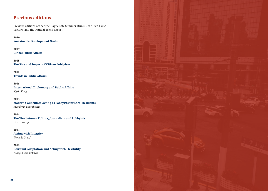## **Previous editions**

Previous editions of the 'The Hague Late Summer Drinks', the 'Ben Pauw Lecture' and the 'Annual Trend Report'

**2020 Sustainable Development Goals**

**2019 Global Public Affairs**

**2018 The Rise and Impact of Citizen Lobbyism**

**2017 Trends in Public Affairs**

**2016 International Diplomacy and Public Affairs** *Sigrid Kaag*

#### **2015**

**Modern Councillors Acting as Lobbyists for Local Residents** *Ingrid van Engelshoven*

**2014**

**The Ties between Politics, Journalism and Lobbyists** *Pieter Broertjes*

**2013 Acting with Integrity** *Thom de Graaf*

**2012 Constant Adaptation and Acting with Flexibility** *Niek Jan van Kesteren*